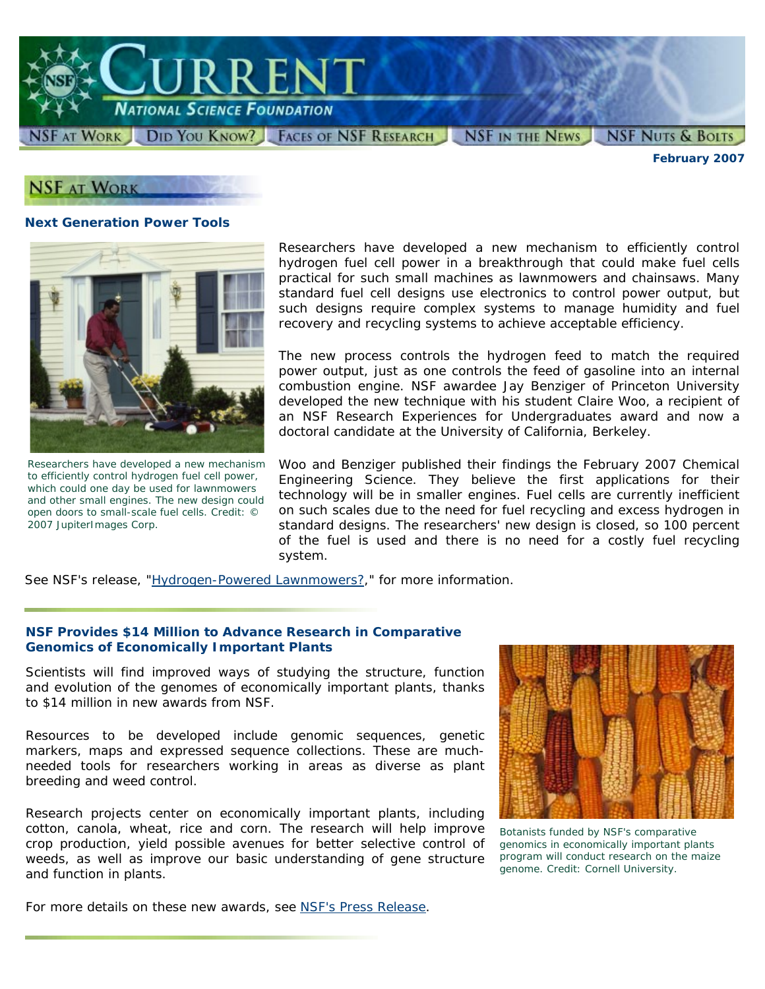

*February 2007*

## **NSF AT WORK**

#### **Next Generation Power Tools**



*Researchers have developed a new mechanism to efficiently control hydrogen fuel cell power, which could one day be used for lawnmowers and other small engines. The new design could open doors to small-scale fuel cells. Credit: © 2007 JupiterImages Corp.*

Researchers have developed a new mechanism to efficiently control hydrogen fuel cell power in a breakthrough that could make fuel cells practical for such small machines as lawnmowers and chainsaws. Many standard fuel cell designs use electronics to control power output, but such designs require complex systems to manage humidity and fuel recovery and recycling systems to achieve acceptable efficiency.

The new process controls the hydrogen feed to match the required power output, just as one controls the feed of gasoline into an internal combustion engine. NSF awardee Jay Benziger of Princeton University developed the new technique with his student Claire Woo, a recipient of an NSF Research Experiences for Undergraduates award and now a doctoral candidate at the University of California, Berkeley.

Woo and Benziger published their findings the February 2007 *Chemical Engineering Science*. They believe the first applications for their technology will be in smaller engines. Fuel cells are currently inefficient on such scales due to the need for fuel recycling and excess hydrogen in standard designs. The researchers' new design is closed, so 100 percent of the fuel is used and there is no need for a costly fuel recycling system.

See NSF's release, ["Hydrogen-Powered Lawnmowers?,](http://www.nsf.gov/news/news_summ.jsp?cntn_id=108293)" for more information.

#### **NSF Provides \$14 Million to Advance Research in Comparative Genomics of Economically Important Plants**

Scientists will find improved ways of studying the structure, function and evolution of the genomes of economically important plants, thanks to \$14 million in new awards from NSF.

Resources to be developed include genomic sequences, genetic markers, maps and expressed sequence collections. These are muchneeded tools for researchers working in areas as diverse as plant breeding and weed control.

Research projects center on economically important plants, including cotton, canola, wheat, rice and corn. The research will help improve crop production, yield possible avenues for better selective control of weeds, as well as improve our basic understanding of gene structure and function in plants.



*Botanists funded by NSF's comparative genomics in economically important plants program will conduct research on the maize genome. Credit: Cornell University.* 

For more details on these new awards, see [NSF's Press Release.](http://www.nsf.gov/news/news_summ.jsp?cntn_id=108263)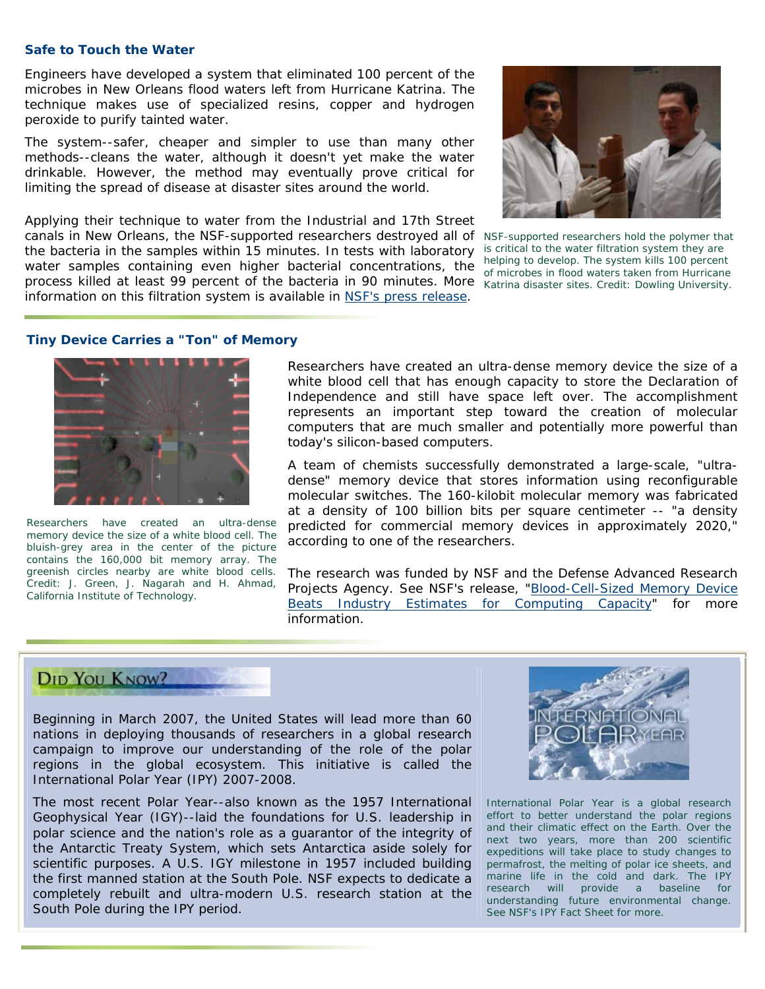#### **Safe to Touch the Water**

Engineers have developed a system that eliminated 100 percent of the microbes in New Orleans flood waters left from Hurricane Katrina. The technique makes use of specialized resins, copper and hydrogen peroxide to purify tainted water.

The system--safer, cheaper and simpler to use than many other methods--cleans the water, although it doesn't yet make the water drinkable. However, the method may eventually prove critical for limiting the spread of disease at disaster sites around the world.

Applying their technique to water from the Industrial and 17th Street canals in New Orleans, the NSF-supported researchers destroyed all of *NSF-supported researchers hold the polymer that*  the bacteria in the samples within 15 minutes. In tests with laboratory water samples containing even higher bacterial concentrations, the process killed at least 99 percent of the bacteria in 90 minutes. More *Katrina disaster sites. Credit: Dowling University.* information on this filtration system is available in [NSF's press release.](http://www.nsf.gov/news/news_summ.jsp?cntn_id=108269)



*is critical to the water filtration system they are helping to develop. The system kills 100 percent of microbes in flood waters taken from Hurricane* 

#### **Tiny Device Carries a "Ton" of Memory**



*Researchers have created an ultra-dense memory device the size of a white blood cell. The bluish-grey area in the center of the picture contains the 160,000 bit memory array. The greenish circles nearby are white blood cells. Credit: J. Green, J. Nagarah and H. Ahmad, California Institute of Technology.*

Researchers have created an ultra-dense memory device the size of a white blood cell that has enough capacity to store the Declaration of Independence and still have space left over. The accomplishment represents an important step toward the creation of molecular computers that are much smaller and potentially more powerful than today's silicon-based computers.

A team of chemists successfully demonstrated a large-scale, "ultradense" memory device that stores information using reconfigurable molecular switches. The 160-kilobit molecular memory was fabricated at a density of 100 billion bits per square centimeter -- "a density predicted for commercial memory devices in approximately 2020," according to one of the researchers.

The research was funded by NSF and the Defense Advanced Research Projects Agency. See NSF's release, ["Blood-Cell-Sized Memory Device](http://www.nsf.gov/news/news_summ.jsp?cntn_id=108300)  [Beats Industry Estimates for Computing Capacity"](http://www.nsf.gov/news/news_summ.jsp?cntn_id=108300) for more information.

# **DID YOU KNOW?**

Beginning in March 2007, the United States will lead more than 60 nations in deploying thousands of researchers in a global research campaign to improve our understanding of the role of the polar regions in the global ecosystem. This initiative is called the International Polar Year (IPY) 2007-2008.

The most recent Polar Year--also known as the 1957 International Geophysical Year (IGY)--laid the foundations for U.S. leadership in polar science and the nation's role as a guarantor of the integrity of the Antarctic Treaty System, which sets Antarctica aside solely for scientific purposes. A U.S. IGY milestone in 1957 included building the first manned station at the South Pole. NSF expects to dedicate a completely rebuilt and ultra-modern U.S. research station at the South Pole during the IPY period.



*International Polar Year is a global research effort to better understand the polar regions and their climatic effect on the Earth. Over the next two years, more than 200 scientific expeditions will take place to study changes to permafrost, the melting of polar ice sheets, and marine life in the cold and dark. The IPY research will provide a baseline for understanding future environmental change. See [NSF's IPY Fact Sheet](http://www.nsf.gov/news/news_summ.jsp?cntn_id=108365) for more.*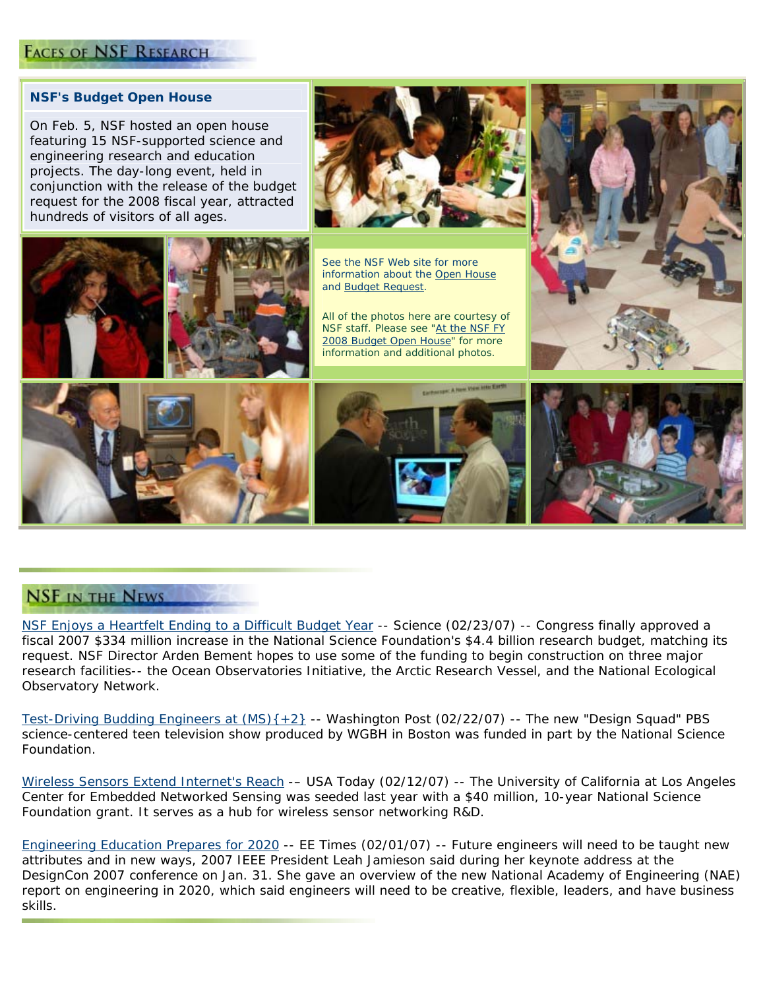## **FACES OF NSF RESEARCH**

#### **NSF's Budget Open House**

On Feb. 5, NSF hosted an open house featuring 15 NSF-supported science and engineering research and education projects. The day-long event, held in conjunction with the release of the budget request for the 2008 fiscal year, attracted hundreds of visitors of all ages.



*See the NSF Web site for more information about the [Open House](http://www.nsf.gov/news/newsmedia/budget_exhibits/index.jsp) and [Budget Request](http://www.nsf.gov/about/budget/fy2008/index.jsp).* 

*All of the photos here are courtesy of NSF staff. Please see "[At the NSF FY](http://www.nsf.gov/news/newsmedia/budget_exhibits/more_exhibit.jsp)  [2008 Budget Open House](http://www.nsf.gov/news/newsmedia/budget_exhibits/more_exhibit.jsp)" for more information and additional photos.* 









### **NSF IN THE NEWS**

[NSF Enjoys a Heartfelt Ending to a](http://www.sciencemag.org/cgi/content/full/315/5815/1062) Difficult Budget Year -- *Science (02/23/07)* -- Congress finally approved a fiscal 2007 \$334 million increase in the National Science Foundation's \$4.4 billion research budget, matching its request. NSF Director Arden Bement hopes to use some of the funding to begin construction on three major research facilities-- the Ocean Observatories Initiative, the Arctic Research Vessel, and the National Ecological Observatory Network.

[Test-Driving Budding Engineers at \(MS\){+2}](http://www.washingtonpost.com/wp-dyn/content/article/2007/02/21/AR2007022100718.html?sub=AR) -- *Washington Post (02/22/07)* -- The new "Design Squad" PBS science-centered teen television show produced by WGBH in Boston was funded in part by the National Science Foundation.

[Wireless Sensors Extend Internet's Reach](http://www.usatoday.com/tech/wireless/data/2007-02-12-wireless-sensors_x.htm?POE=TECISVA) -– *USA Today (02/12/07)* -- The University of California at Los Angeles Center for Embedded Networked Sensing was seeded last year with a \$40 million, 10-year National Science Foundation grant. It serves as a hub for wireless sensor networking R&D.

[Engineering Education Prepares for 2020](http://www.eetimes.com/rss/showArticle.jhtml?articleID=197002380&cid=RSSfeed_eetimes_newsRSS) -- *EE Times (02/01/07)* -- Future engineers will need to be taught new attributes and in new ways, 2007 IEEE President Leah Jamieson said during her keynote address at the DesignCon 2007 conference on Jan. 31. She gave an overview of the new National Academy of Engineering (NAE) report on engineering in 2020, which said engineers will need to be creative, flexible, leaders, and have business skills.